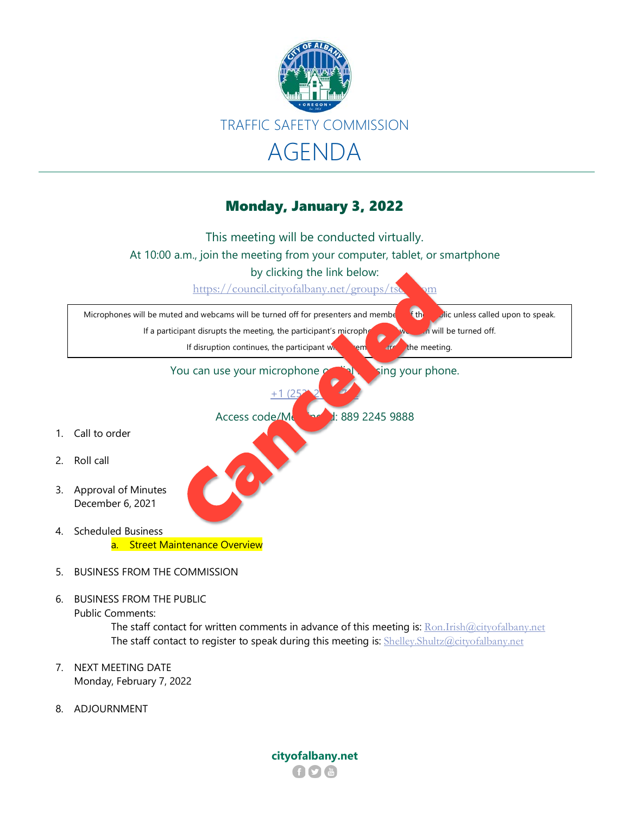

## Monday, January 3, 2022



The staff contact for written comments in advance of this meeting is: [Ron.Irish@cityofalbany.net](mailto:Ron.Irish@cityofalbany.net) The staff contact to register to speak during this meeting is: [Shelley.Shultz@cityofalbany.net](mailto:Shelley.Shultz@cityofalbany.net)

- 7. NEXT MEETING DATE Monday, February 7, 2022
- 8. ADJOURNMENT